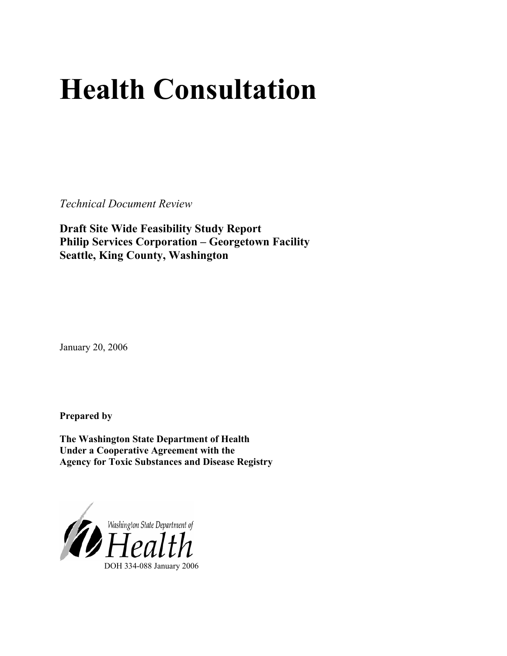# **Health Consultation**

*Technical Document Review* 

**Draft Site Wide Feasibility Study Report Philip Services Corporation – Georgetown Facility Seattle, King County, Washington** 

January 20, 2006

**Prepared by** 

**The Washington State Department of Health Under a Cooperative Agreement with the Agency for Toxic Substances and Disease Registry**

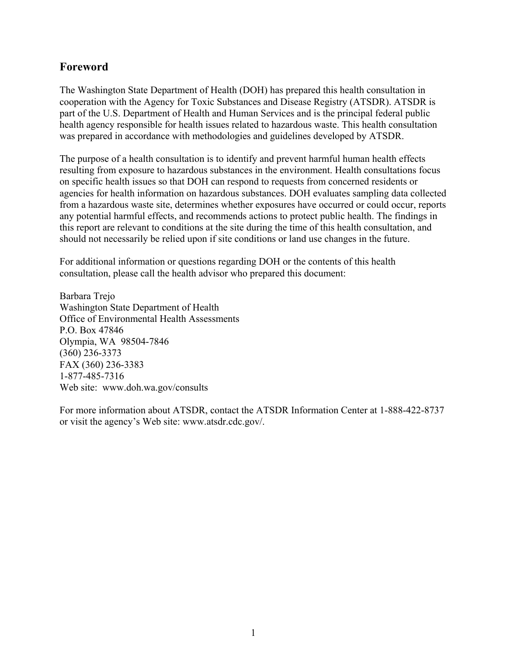# **Foreword**

The Washington State Department of Health (DOH) has prepared this health consultation in cooperation with the Agency for Toxic Substances and Disease Registry (ATSDR). ATSDR is part of the U.S. Department of Health and Human Services and is the principal federal public health agency responsible for health issues related to hazardous waste. This health consultation was prepared in accordance with methodologies and guidelines developed by ATSDR.

The purpose of a health consultation is to identify and prevent harmful human health effects resulting from exposure to hazardous substances in the environment. Health consultations focus on specific health issues so that DOH can respond to requests from concerned residents or agencies for health information on hazardous substances. DOH evaluates sampling data collected from a hazardous waste site, determines whether exposures have occurred or could occur, reports any potential harmful effects, and recommends actions to protect public health. The findings in this report are relevant to conditions at the site during the time of this health consultation, and should not necessarily be relied upon if site conditions or land use changes in the future.

For additional information or questions regarding DOH or the contents of this health consultation, please call the health advisor who prepared this document:

Barbara Trejo Washington State Department of Health Office of Environmental Health Assessments P.O. Box 47846 Olympia, WA 98504-7846 (360) 236-3373 FAX (360) 236-3383 1-877-485-7316 Web site: [www.doh.wa.gov/](http://www.doh.wa.gov/consults)consults

For more information about ATSDR, contact the ATSDR Information Center at 1-888-422-8737 or visit the agency's Web site: www.atsdr.cdc.gov/.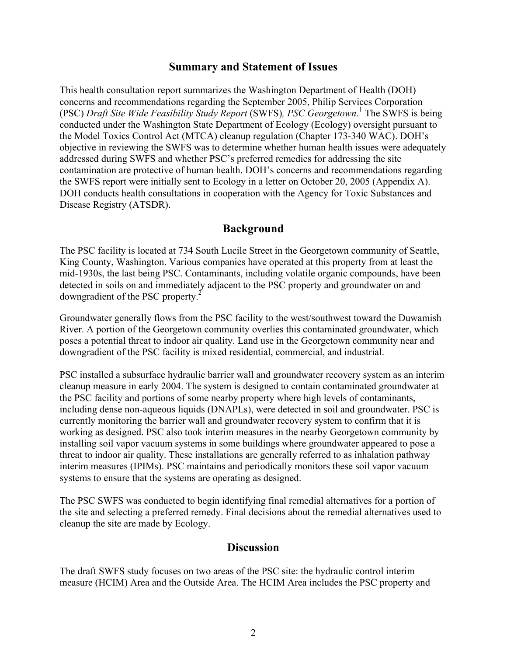### **Summary and Statement of Issues**

This health consultation report summarizes the Washington Department of Health (DOH) concerns and recommendations regarding the September 2005, Philip Services Corporation (PSC) *Draft Site Wide Feasibility Study Report* (SWFS)*, PSC Georgetown*. 1 The SWFS is being conducted under the Washington State Department of Ecology (Ecology) oversight pursuant to the Model Toxics Control Act (MTCA) cleanup regulation (Chapter 173-340 WAC). DOH's objective in reviewing the SWFS was to determine whether human health issues were adequately addressed during SWFS and whether PSC's preferred remedies for addressing the site contamination are protective of human health. DOH's concerns and recommendations regarding the SWFS report were initially sent to Ecology in a letter on October 20, 2005 (Appendix A). DOH conducts health consultations in cooperation with the Agency for Toxic Substances and Disease Registry (ATSDR).

# **Background**

The PSC facility is located at 734 South Lucile Street in the Georgetown community of Seattle, King County, Washington. Various companies have operated at this property from at least the mid-1930s, the last being PSC. Contaminants, including volatile organic compounds, have been detected in soils on and immediately adjacent to the PSC property and groundwater on and downgradient of the PSC property. $\frac{3}{2}$ 

Groundwater generally flows from the PSC facility to the west/southwest toward the Duwamish River. A portion of the Georgetown community overlies this contaminated groundwater, which poses a potential threat to indoor air quality. Land use in the Georgetown community near and downgradient of the PSC facility is mixed residential, commercial, and industrial.

PSC installed a subsurface hydraulic barrier wall and groundwater recovery system as an interim cleanup measure in early 2004. The system is designed to contain contaminated groundwater at the PSC facility and portions of some nearby property where high levels of contaminants, including dense non-aqueous liquids (DNAPLs), were detected in soil and groundwater. PSC is currently monitoring the barrier wall and groundwater recovery system to confirm that it is working as designed. PSC also took interim measures in the nearby Georgetown community by installing soil vapor vacuum systems in some buildings where groundwater appeared to pose a threat to indoor air quality. These installations are generally referred to as inhalation pathway interim measures (IPIMs). PSC maintains and periodically monitors these soil vapor vacuum systems to ensure that the systems are operating as designed.

The PSC SWFS was conducted to begin identifying final remedial alternatives for a portion of the site and selecting a preferred remedy. Final decisions about the remedial alternatives used to cleanup the site are made by Ecology.

# **Discussion**

The draft SWFS study focuses on two areas of the PSC site: the hydraulic control interim measure (HCIM) Area and the Outside Area. The HCIM Area includes the PSC property and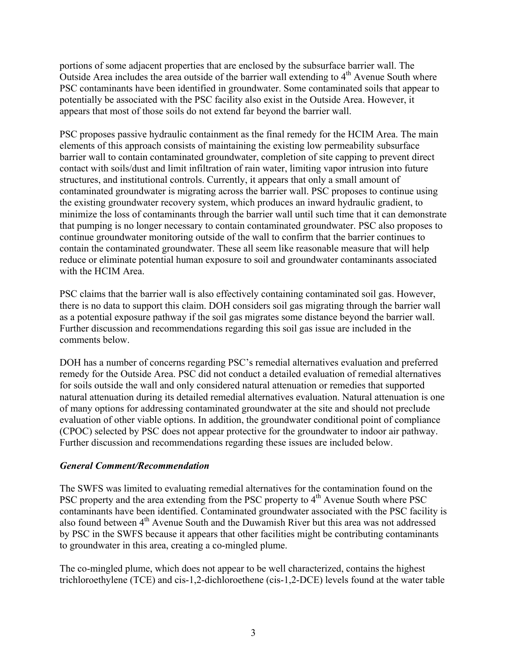portions of some adjacent properties that are enclosed by the subsurface barrier wall. The Outside Area includes the area outside of the barrier wall extending to  $4<sup>th</sup>$  Avenue South where PSC contaminants have been identified in groundwater. Some contaminated soils that appear to potentially be associated with the PSC facility also exist in the Outside Area. However, it appears that most of those soils do not extend far beyond the barrier wall.

PSC proposes passive hydraulic containment as the final remedy for the HCIM Area. The main elements of this approach consists of maintaining the existing low permeability subsurface barrier wall to contain contaminated groundwater, completion of site capping to prevent direct contact with soils/dust and limit infiltration of rain water, limiting vapor intrusion into future structures, and institutional controls. Currently, it appears that only a small amount of contaminated groundwater is migrating across the barrier wall. PSC proposes to continue using the existing groundwater recovery system, which produces an inward hydraulic gradient, to minimize the loss of contaminants through the barrier wall until such time that it can demonstrate that pumping is no longer necessary to contain contaminated groundwater. PSC also proposes to continue groundwater monitoring outside of the wall to confirm that the barrier continues to contain the contaminated groundwater. These all seem like reasonable measure that will help reduce or eliminate potential human exposure to soil and groundwater contaminants associated with the HCIM Area.

PSC claims that the barrier wall is also effectively containing contaminated soil gas. However, there is no data to support this claim. DOH considers soil gas migrating through the barrier wall as a potential exposure pathway if the soil gas migrates some distance beyond the barrier wall. Further discussion and recommendations regarding this soil gas issue are included in the comments below.

DOH has a number of concerns regarding PSC's remedial alternatives evaluation and preferred remedy for the Outside Area. PSC did not conduct a detailed evaluation of remedial alternatives for soils outside the wall and only considered natural attenuation or remedies that supported natural attenuation during its detailed remedial alternatives evaluation. Natural attenuation is one of many options for addressing contaminated groundwater at the site and should not preclude evaluation of other viable options. In addition, the groundwater conditional point of compliance (CPOC) selected by PSC does not appear protective for the groundwater to indoor air pathway. Further discussion and recommendations regarding these issues are included below.

#### *General Comment/Recommendation*

The SWFS was limited to evaluating remedial alternatives for the contamination found on the PSC property and the area extending from the PSC property to  $4<sup>th</sup>$  Avenue South where PSC contaminants have been identified. Contaminated groundwater associated with the PSC facility is also found between 4th Avenue South and the Duwamish River but this area was not addressed by PSC in the SWFS because it appears that other facilities might be contributing contaminants to groundwater in this area, creating a co-mingled plume.

The co-mingled plume, which does not appear to be well characterized, contains the highest trichloroethylene (TCE) and cis-1,2-dichloroethene (cis-1,2-DCE) levels found at the water table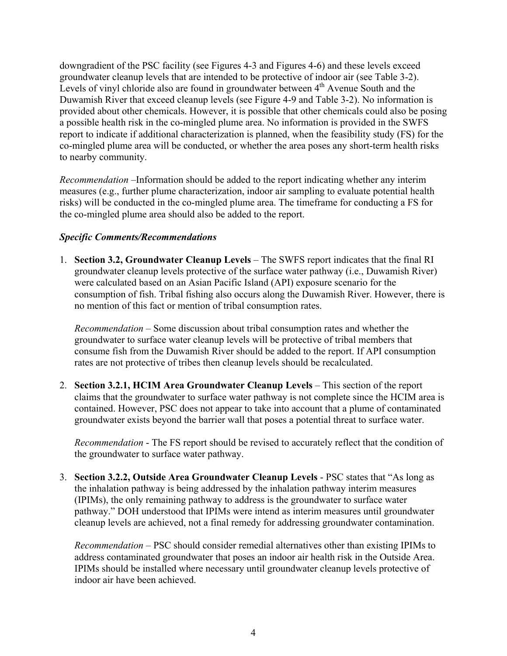downgradient of the PSC facility (see Figures 4-3 and Figures 4-6) and these levels exceed groundwater cleanup levels that are intended to be protective of indoor air (see Table 3-2). Levels of vinyl chloride also are found in groundwater between  $4<sup>th</sup>$  Avenue South and the Duwamish River that exceed cleanup levels (see Figure 4-9 and Table 3-2). No information is provided about other chemicals. However, it is possible that other chemicals could also be posing a possible health risk in the co-mingled plume area. No information is provided in the SWFS report to indicate if additional characterization is planned, when the feasibility study (FS) for the co-mingled plume area will be conducted, or whether the area poses any short-term health risks to nearby community.

*Recommendation* –Information should be added to the report indicating whether any interim measures (e.g., further plume characterization, indoor air sampling to evaluate potential health risks) will be conducted in the co-mingled plume area. The timeframe for conducting a FS for the co-mingled plume area should also be added to the report.

#### *Specific Comments/Recommendations*

1. **Section 3.2, Groundwater Cleanup Levels** – The SWFS report indicates that the final RI groundwater cleanup levels protective of the surface water pathway (i.e., Duwamish River) were calculated based on an Asian Pacific Island (API) exposure scenario for the consumption of fish. Tribal fishing also occurs along the Duwamish River. However, there is no mention of this fact or mention of tribal consumption rates.

*Recommendation* – Some discussion about tribal consumption rates and whether the groundwater to surface water cleanup levels will be protective of tribal members that consume fish from the Duwamish River should be added to the report. If API consumption rates are not protective of tribes then cleanup levels should be recalculated.

2. **Section 3.2.1, HCIM Area Groundwater Cleanup Levels** – This section of the report claims that the groundwater to surface water pathway is not complete since the HCIM area is contained. However, PSC does not appear to take into account that a plume of contaminated groundwater exists beyond the barrier wall that poses a potential threat to surface water.

*Recommendation* - The FS report should be revised to accurately reflect that the condition of the groundwater to surface water pathway.

3. **Section 3.2.2, Outside Area Groundwater Cleanup Levels** - PSC states that "As long as the inhalation pathway is being addressed by the inhalation pathway interim measures (IPIMs), the only remaining pathway to address is the groundwater to surface water pathway." DOH understood that IPIMs were intend as interim measures until groundwater cleanup levels are achieved, not a final remedy for addressing groundwater contamination.

*Recommendation* – PSC should consider remedial alternatives other than existing IPIMs to address contaminated groundwater that poses an indoor air health risk in the Outside Area. IPIMs should be installed where necessary until groundwater cleanup levels protective of indoor air have been achieved.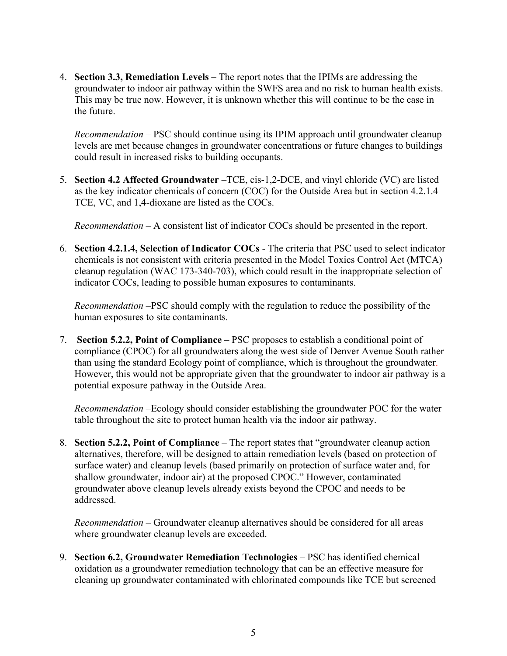4. **Section 3.3, Remediation Levels** – The report notes that the IPIMs are addressing the groundwater to indoor air pathway within the SWFS area and no risk to human health exists. This may be true now. However, it is unknown whether this will continue to be the case in the future.

*Recommendation* – PSC should continue using its IPIM approach until groundwater cleanup levels are met because changes in groundwater concentrations or future changes to buildings could result in increased risks to building occupants.

5. **Section 4.2 Affected Groundwater** –TCE, cis-1,2-DCE, and vinyl chloride (VC) are listed as the key indicator chemicals of concern (COC) for the Outside Area but in section 4.2.1.4 TCE, VC, and 1,4-dioxane are listed as the COCs.

*Recommendation* – A consistent list of indicator COCs should be presented in the report.

6. **Section 4.2.1.4, Selection of Indicator COCs** - The criteria that PSC used to select indicator chemicals is not consistent with criteria presented in the Model Toxics Control Act (MTCA) cleanup regulation (WAC 173-340-703), which could result in the inappropriate selection of indicator COCs, leading to possible human exposures to contaminants.

*Recommendation* –PSC should comply with the regulation to reduce the possibility of the human exposures to site contaminants.

7. **Section 5.2.2, Point of Compliance** – PSC proposes to establish a conditional point of compliance (CPOC) for all groundwaters along the west side of Denver Avenue South rather than using the standard Ecology point of compliance, which is throughout the groundwater. However, this would not be appropriate given that the groundwater to indoor air pathway is a potential exposure pathway in the Outside Area.

*Recommendation* –Ecology should consider establishing the groundwater POC for the water table throughout the site to protect human health via the indoor air pathway.

8. **Section 5.2.2, Point of Compliance** – The report states that "groundwater cleanup action alternatives, therefore, will be designed to attain remediation levels (based on protection of surface water) and cleanup levels (based primarily on protection of surface water and, for shallow groundwater, indoor air) at the proposed CPOC." However, contaminated groundwater above cleanup levels already exists beyond the CPOC and needs to be addressed.

*Recommendation* – Groundwater cleanup alternatives should be considered for all areas where groundwater cleanup levels are exceeded.

9. **Section 6.2, Groundwater Remediation Technologies** – PSC has identified chemical oxidation as a groundwater remediation technology that can be an effective measure for cleaning up groundwater contaminated with chlorinated compounds like TCE but screened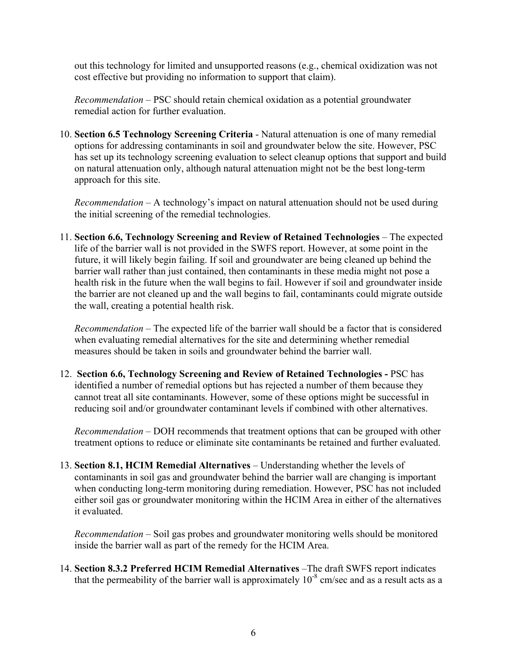out this technology for limited and unsupported reasons (e.g., chemical oxidization was not cost effective but providing no information to support that claim).

*Recommendation* – PSC should retain chemical oxidation as a potential groundwater remedial action for further evaluation.

10. **Section 6.5 Technology Screening Criteria** - Natural attenuation is one of many remedial options for addressing contaminants in soil and groundwater below the site. However, PSC has set up its technology screening evaluation to select cleanup options that support and build on natural attenuation only, although natural attenuation might not be the best long-term approach for this site.

*Recommendation* – A technology's impact on natural attenuation should not be used during the initial screening of the remedial technologies.

11. **Section 6.6, Technology Screening and Review of Retained Technologies** – The expected life of the barrier wall is not provided in the SWFS report. However, at some point in the future, it will likely begin failing. If soil and groundwater are being cleaned up behind the barrier wall rather than just contained, then contaminants in these media might not pose a health risk in the future when the wall begins to fail. However if soil and groundwater inside the barrier are not cleaned up and the wall begins to fail, contaminants could migrate outside the wall, creating a potential health risk.

*Recommendation* – The expected life of the barrier wall should be a factor that is considered when evaluating remedial alternatives for the site and determining whether remedial measures should be taken in soils and groundwater behind the barrier wall.

12. **Section 6.6, Technology Screening and Review of Retained Technologies -** PSC has identified a number of remedial options but has rejected a number of them because they cannot treat all site contaminants. However, some of these options might be successful in reducing soil and/or groundwater contaminant levels if combined with other alternatives.

*Recommendation* – DOH recommends that treatment options that can be grouped with other treatment options to reduce or eliminate site contaminants be retained and further evaluated.

13. **Section 8.1, HCIM Remedial Alternatives** – Understanding whether the levels of contaminants in soil gas and groundwater behind the barrier wall are changing is important when conducting long-term monitoring during remediation. However, PSC has not included either soil gas or groundwater monitoring within the HCIM Area in either of the alternatives it evaluated.

*Recommendation* – Soil gas probes and groundwater monitoring wells should be monitored inside the barrier wall as part of the remedy for the HCIM Area.

14. **Section 8.3.2 Preferred HCIM Remedial Alternatives** –The draft SWFS report indicates that the permeability of the barrier wall is approximately  $10^{-8}$  cm/sec and as a result acts as a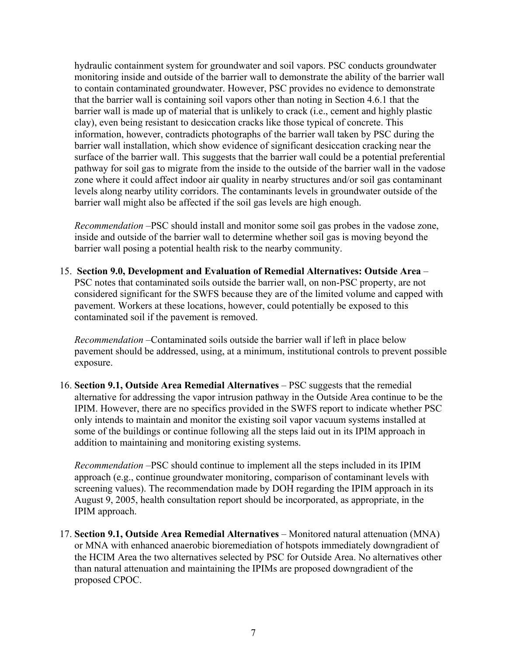hydraulic containment system for groundwater and soil vapors. PSC conducts groundwater monitoring inside and outside of the barrier wall to demonstrate the ability of the barrier wall to contain contaminated groundwater. However, PSC provides no evidence to demonstrate that the barrier wall is containing soil vapors other than noting in Section 4.6.1 that the barrier wall is made up of material that is unlikely to crack (i.e., cement and highly plastic clay), even being resistant to desiccation cracks like those typical of concrete. This information, however, contradicts photographs of the barrier wall taken by PSC during the barrier wall installation, which show evidence of significant desiccation cracking near the surface of the barrier wall. This suggests that the barrier wall could be a potential preferential pathway for soil gas to migrate from the inside to the outside of the barrier wall in the vadose zone where it could affect indoor air quality in nearby structures and/or soil gas contaminant levels along nearby utility corridors. The contaminants levels in groundwater outside of the barrier wall might also be affected if the soil gas levels are high enough.

*Recommendation* –PSC should install and monitor some soil gas probes in the vadose zone, inside and outside of the barrier wall to determine whether soil gas is moving beyond the barrier wall posing a potential health risk to the nearby community.

15. **Section 9.0, Development and Evaluation of Remedial Alternatives: Outside Area** – PSC notes that contaminated soils outside the barrier wall, on non-PSC property, are not considered significant for the SWFS because they are of the limited volume and capped with pavement. Workers at these locations, however, could potentially be exposed to this contaminated soil if the pavement is removed.

*Recommendation* –Contaminated soils outside the barrier wall if left in place below pavement should be addressed, using, at a minimum, institutional controls to prevent possible exposure.

16. **Section 9.1, Outside Area Remedial Alternatives** – PSC suggests that the remedial alternative for addressing the vapor intrusion pathway in the Outside Area continue to be the IPIM. However, there are no specifics provided in the SWFS report to indicate whether PSC only intends to maintain and monitor the existing soil vapor vacuum systems installed at some of the buildings or continue following all the steps laid out in its IPIM approach in addition to maintaining and monitoring existing systems.

*Recommendation* –PSC should continue to implement all the steps included in its IPIM approach (e.g., continue groundwater monitoring, comparison of contaminant levels with screening values). The recommendation made by DOH regarding the IPIM approach in its August 9, 2005, health consultation report should be incorporated, as appropriate, in the IPIM approach.

17. **Section 9.1, Outside Area Remedial Alternatives** – Monitored natural attenuation (MNA) or MNA with enhanced anaerobic bioremediation of hotspots immediately downgradient of the HCIM Area the two alternatives selected by PSC for Outside Area. No alternatives other than natural attenuation and maintaining the IPIMs are proposed downgradient of the proposed CPOC.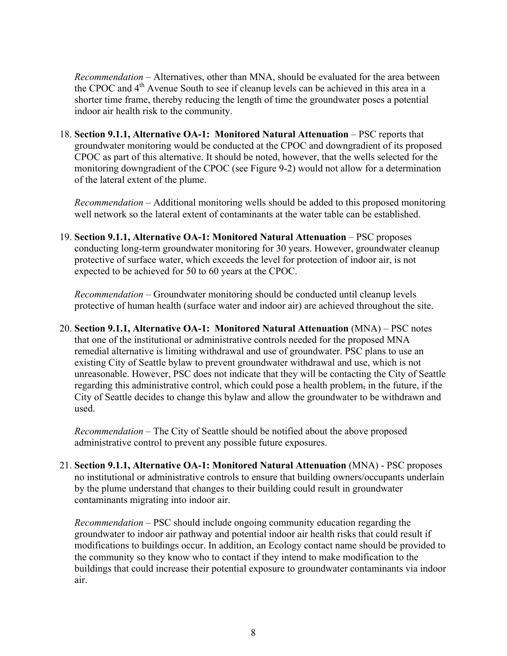*Recommendation* – Alternatives, other than MNA, should be evaluated for the area between the CPOC and 4<sup>th</sup> Avenue South to see if cleanup levels can be achieved in this area in a shorter time frame, thereby reducing the length of time the groundwater poses a potential indoor air health risk to the community.

18. **Section 9.1.1, Alternative OA-1: Monitored Natural Attenuation** – PSC reports that groundwater monitoring would be conducted at the CPOC and downgradient of its proposed CPOC as part of this alternative. It should be noted, however, that the wells selected for the monitoring downgradient of the CPOC (see Figure 9-2) would not allow for a determination of the lateral extent of the plume.

*Recommendation* – Additional monitoring wells should be added to this proposed monitoring well network so the lateral extent of contaminants at the water table can be established.

19. **Section 9.1.1, Alternative OA-1: Monitored Natural Attenuation** – PSC proposes conducting long-term groundwater monitoring for 30 years. However, groundwater cleanup protective of surface water, which exceeds the level for protection of indoor air, is not expected to be achieved for 50 to 60 years at the CPOC.

*Recommendation* – Groundwater monitoring should be conducted until cleanup levels protective of human health (surface water and indoor air) are achieved throughout the site.

20. **Section 9.1.1, Alternative OA-1: Monitored Natural Attenuation** (MNA) – PSC notes that one of the institutional or administrative controls needed for the proposed MNA remedial alternative is limiting withdrawal and use of groundwater. PSC plans to use an existing City of Seattle bylaw to prevent groundwater withdrawal and use, which is not unreasonable. However, PSC does not indicate that they will be contacting the City of Seattle regarding this administrative control, which could pose a health problem, in the future, if the City of Seattle decides to change this bylaw and allow the groundwater to be withdrawn and used.

*Recommendation* – The City of Seattle should be notified about the above proposed administrative control to prevent any possible future exposures.

21. **Section 9.1.1, Alternative OA-1: Monitored Natural Attenuation** (MNA) - PSC proposes no institutional or administrative controls to ensure that building owners/occupants underlain by the plume understand that changes to their building could result in groundwater contaminants migrating into indoor air.

*Recommendation* – PSC should include ongoing community education regarding the groundwater to indoor air pathway and potential indoor air health risks that could result if modifications to buildings occur. In addition, an Ecology contact name should be provided to the community so they know who to contact if they intend to make modification to the buildings that could increase their potential exposure to groundwater contaminants via indoor air.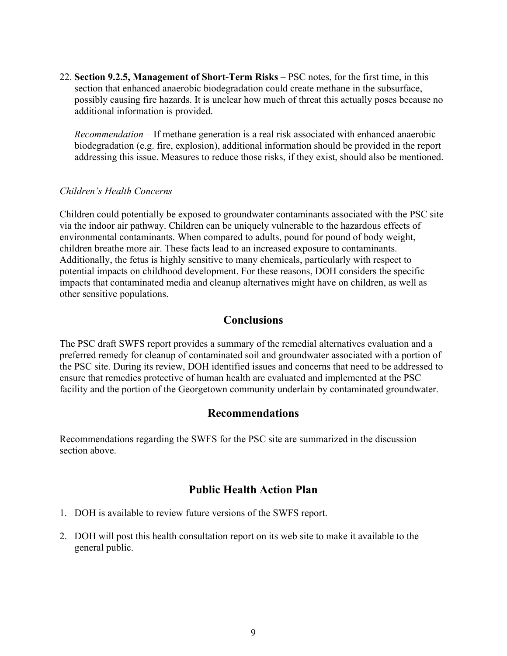22. **Section 9.2.5, Management of Short-Term Risks** – PSC notes, for the first time, in this section that enhanced anaerobic biodegradation could create methane in the subsurface, possibly causing fire hazards. It is unclear how much of threat this actually poses because no additional information is provided.

*Recommendation* – If methane generation is a real risk associated with enhanced anaerobic biodegradation (e.g. fire, explosion), additional information should be provided in the report addressing this issue. Measures to reduce those risks, if they exist, should also be mentioned.

#### *Children's Health Concerns*

Children could potentially be exposed to groundwater contaminants associated with the PSC site via the indoor air pathway. Children can be uniquely vulnerable to the hazardous effects of environmental contaminants. When compared to adults, pound for pound of body weight, children breathe more air. These facts lead to an increased exposure to contaminants. Additionally, the fetus is highly sensitive to many chemicals, particularly with respect to potential impacts on childhood development. For these reasons, DOH considers the specific impacts that contaminated media and cleanup alternatives might have on children, as well as other sensitive populations.

# **Conclusions**

The PSC draft SWFS report provides a summary of the remedial alternatives evaluation and a preferred remedy for cleanup of contaminated soil and groundwater associated with a portion of the PSC site. During its review, DOH identified issues and concerns that need to be addressed to ensure that remedies protective of human health are evaluated and implemented at the PSC facility and the portion of the Georgetown community underlain by contaminated groundwater.

# **Recommendations**

Recommendations regarding the SWFS for the PSC site are summarized in the discussion section above.

# **Public Health Action Plan**

- 1. DOH is available to review future versions of the SWFS report.
- 2. DOH will post this health consultation report on its web site to make it available to the general public.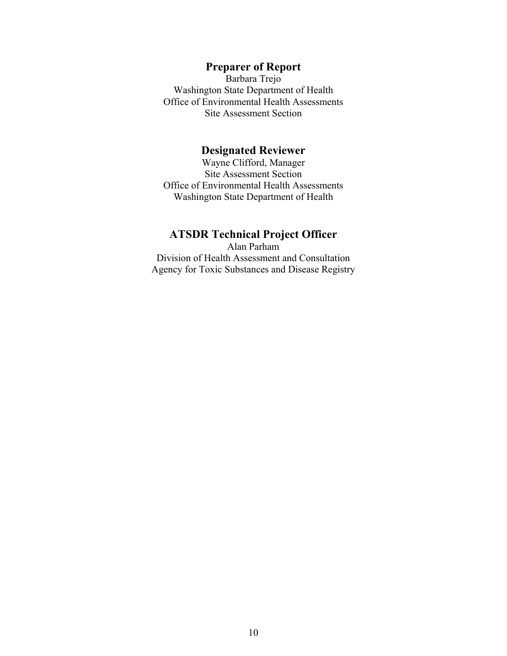# **Preparer of Report**

Barbara Trejo Washington State Department of Health Office of Environmental Health Assessments Site Assessment Section

#### **Designated Reviewer**

Wayne Clifford, Manager Site Assessment Section Office of Environmental Health Assessments Washington State Department of Health

# **ATSDR Technical Project Officer**

Alan Parham Division of Health Assessment and Consultation Agency for Toxic Substances and Disease Registry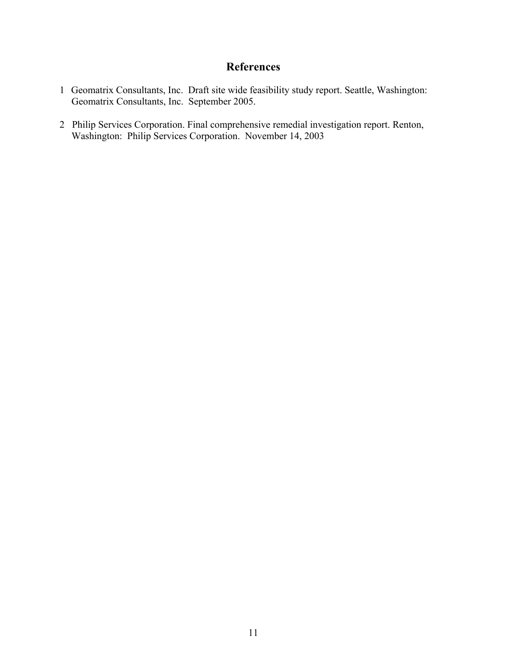# **References**

- 1 Geomatrix Consultants, Inc. Draft site wide feasibility study report. Seattle, Washington: Geomatrix Consultants, Inc. September 2005.
- 2 Philip Services Corporation. Final comprehensive remedial investigation report. Renton, Washington: Philip Services Corporation. November 14, 2003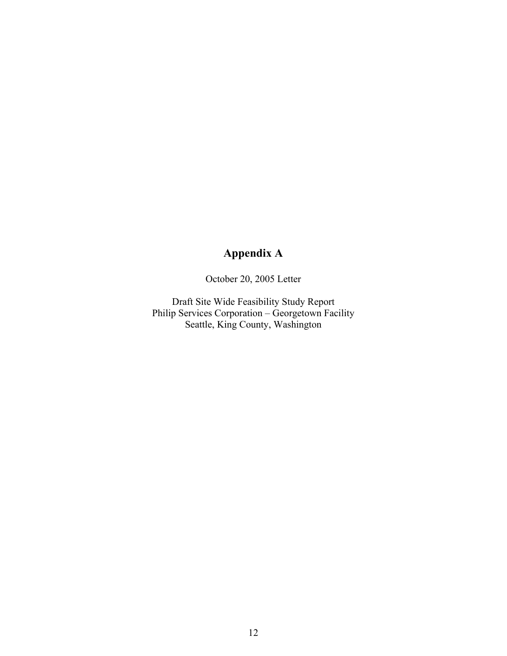# **Appendix A**

October 20, 2005 Letter

Draft Site Wide Feasibility Study Report Philip Services Corporation – Georgetown Facility Seattle, King County, Washington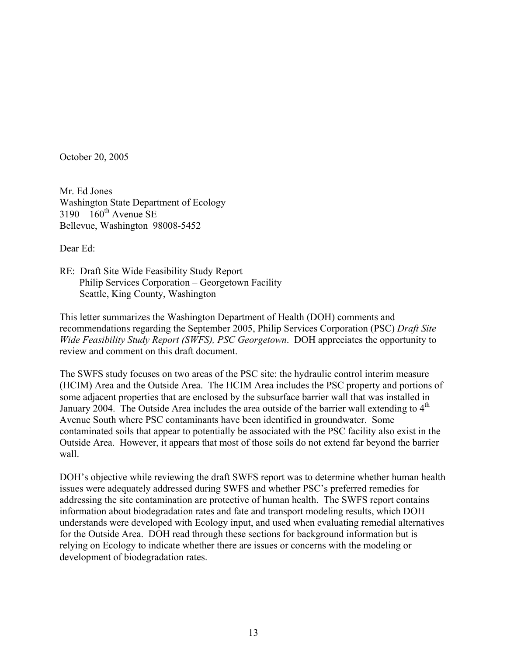October 20, 2005

Mr. Ed Jones Washington State Department of Ecology  $3190 - 160^{\text{th}}$  Avenue SE Bellevue, Washington 98008-5452

Dear Ed:

RE: Draft Site Wide Feasibility Study Report Philip Services Corporation – Georgetown Facility Seattle, King County, Washington

This letter summarizes the Washington Department of Health (DOH) comments and recommendations regarding the September 2005, Philip Services Corporation (PSC) *Draft Site Wide Feasibility Study Report (SWFS), PSC Georgetown*. DOH appreciates the opportunity to review and comment on this draft document.

The SWFS study focuses on two areas of the PSC site: the hydraulic control interim measure (HCIM) Area and the Outside Area. The HCIM Area includes the PSC property and portions of some adjacent properties that are enclosed by the subsurface barrier wall that was installed in January 2004. The Outside Area includes the area outside of the barrier wall extending to  $4<sup>th</sup>$ Avenue South where PSC contaminants have been identified in groundwater. Some contaminated soils that appear to potentially be associated with the PSC facility also exist in the Outside Area. However, it appears that most of those soils do not extend far beyond the barrier wall.

DOH's objective while reviewing the draft SWFS report was to determine whether human health issues were adequately addressed during SWFS and whether PSC's preferred remedies for addressing the site contamination are protective of human health. The SWFS report contains information about biodegradation rates and fate and transport modeling results, which DOH understands were developed with Ecology input, and used when evaluating remedial alternatives for the Outside Area. DOH read through these sections for background information but is relying on Ecology to indicate whether there are issues or concerns with the modeling or development of biodegradation rates.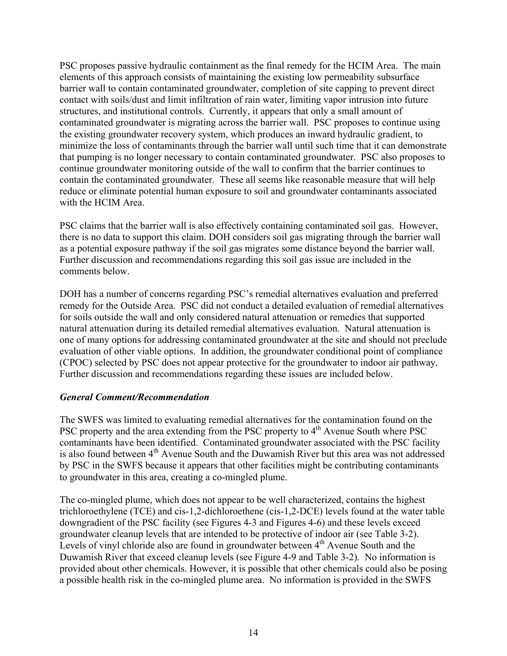PSC proposes passive hydraulic containment as the final remedy for the HCIM Area. The main elements of this approach consists of maintaining the existing low permeability subsurface barrier wall to contain contaminated groundwater, completion of site capping to prevent direct contact with soils/dust and limit infiltration of rain water, limiting vapor intrusion into future structures, and institutional controls.Currently, it appears that only a small amount of contaminated groundwater is migrating across the barrier wall. PSC proposes to continue using the existing groundwater recovery system, which produces an inward hydraulic gradient, to minimize the loss of contaminants through the barrier wall until such time that it can demonstrate that pumping is no longer necessary to contain contaminated groundwater. PSC also proposes to continue groundwater monitoring outside of the wall to confirm that the barrier continues to contain the contaminated groundwater. These all seems like reasonable measure that will help reduce or eliminate potential human exposure to soil and groundwater contaminants associated with the HCIM Area.

PSC claims that the barrier wall is also effectively containing contaminated soil gas. However, there is no data to support this claim. DOH considers soil gas migrating through the barrier wall as a potential exposure pathway if the soil gas migrates some distance beyond the barrier wall. Further discussion and recommendations regarding this soil gas issue are included in the comments below.

DOH has a number of concerns regarding PSC's remedial alternatives evaluation and preferred remedy for the Outside Area. PSC did not conduct a detailed evaluation of remedial alternatives for soils outside the wall and only considered natural attenuation or remedies that supported natural attenuation during its detailed remedial alternatives evaluation. Natural attenuation is one of many options for addressing contaminated groundwater at the site and should not preclude evaluation of other viable options. In addition, the groundwater conditional point of compliance (CPOC) selected by PSC does not appear protective for the groundwater to indoor air pathway. Further discussion and recommendations regarding these issues are included below.

#### *General Comment/Recommendation*

The SWFS was limited to evaluating remedial alternatives for the contamination found on the PSC property and the area extending from the PSC property to 4<sup>th</sup> Avenue South where PSC contaminants have been identified. Contaminated groundwater associated with the PSC facility is also found between 4<sup>th</sup> Avenue South and the Duwamish River but this area was not addressed by PSC in the SWFS because it appears that other facilities might be contributing contaminants to groundwater in this area, creating a co-mingled plume.

The co-mingled plume, which does not appear to be well characterized, contains the highest trichloroethylene (TCE) and cis-1,2-dichloroethene (cis-1,2-DCE) levels found at the water table downgradient of the PSC facility (see Figures 4-3 and Figures 4-6) and these levels exceed groundwater cleanup levels that are intended to be protective of indoor air (see Table 3-2). Levels of vinyl chloride also are found in groundwater between 4<sup>th</sup> Avenue South and the Duwamish River that exceed cleanup levels (see Figure 4-9 and Table 3-2). No information is provided about other chemicals. However, it is possible that other chemicals could also be posing a possible health risk in the co-mingled plume area. No information is provided in the SWFS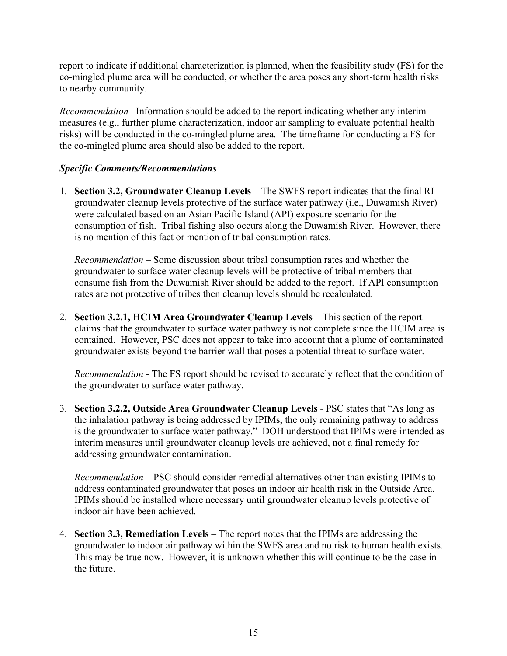report to indicate if additional characterization is planned, when the feasibility study (FS) for the co-mingled plume area will be conducted, or whether the area poses any short-term health risks to nearby community.

*Recommendation* –Information should be added to the report indicating whether any interim measures (e.g., further plume characterization, indoor air sampling to evaluate potential health risks) will be conducted in the co-mingled plume area. The timeframe for conducting a FS for the co-mingled plume area should also be added to the report.

#### *Specific Comments/Recommendations*

1. **Section 3.2, Groundwater Cleanup Levels** – The SWFS report indicates that the final RI groundwater cleanup levels protective of the surface water pathway (i.e., Duwamish River) were calculated based on an Asian Pacific Island (API) exposure scenario for the consumption of fish. Tribal fishing also occurs along the Duwamish River. However, there is no mention of this fact or mention of tribal consumption rates.

*Recommendation* – Some discussion about tribal consumption rates and whether the groundwater to surface water cleanup levels will be protective of tribal members that consume fish from the Duwamish River should be added to the report. If API consumption rates are not protective of tribes then cleanup levels should be recalculated.

2. **Section 3.2.1, HCIM Area Groundwater Cleanup Levels** – This section of the report claims that the groundwater to surface water pathway is not complete since the HCIM area is contained. However, PSC does not appear to take into account that a plume of contaminated groundwater exists beyond the barrier wall that poses a potential threat to surface water.

*Recommendation* - The FS report should be revised to accurately reflect that the condition of the groundwater to surface water pathway.

3. **Section 3.2.2, Outside Area Groundwater Cleanup Levels** - PSC states that "As long as the inhalation pathway is being addressed by IPIMs, the only remaining pathway to address is the groundwater to surface water pathway." DOH understood that IPIMs were intended as interim measures until groundwater cleanup levels are achieved, not a final remedy for addressing groundwater contamination.

*Recommendation* – PSC should consider remedial alternatives other than existing IPIMs to address contaminated groundwater that poses an indoor air health risk in the Outside Area. IPIMs should be installed where necessary until groundwater cleanup levels protective of indoor air have been achieved.

4. **Section 3.3, Remediation Levels** – The report notes that the IPIMs are addressing the groundwater to indoor air pathway within the SWFS area and no risk to human health exists. This may be true now. However, it is unknown whether this will continue to be the case in the future.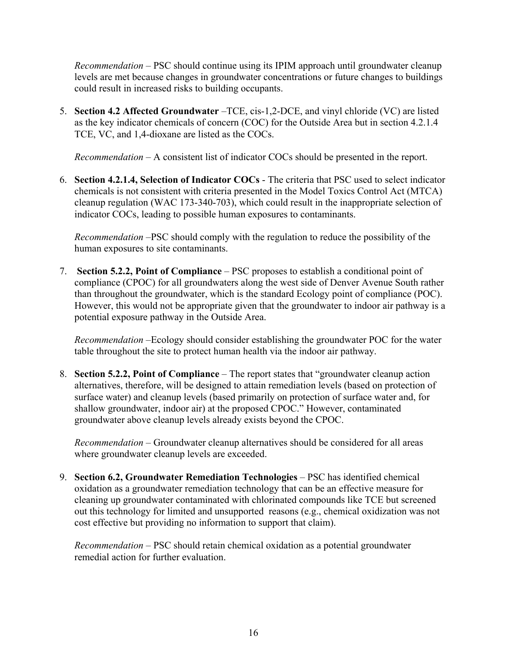*Recommendation* – PSC should continue using its IPIM approach until groundwater cleanup levels are met because changes in groundwater concentrations or future changes to buildings could result in increased risks to building occupants.

5. **Section 4.2 Affected Groundwater** –TCE, cis-1,2-DCE, and vinyl chloride (VC) are listed as the key indicator chemicals of concern (COC) for the Outside Area but in section 4.2.1.4 TCE, VC, and 1,4-dioxane are listed as the COCs.

*Recommendation* – A consistent list of indicator COCs should be presented in the report.

6. **Section 4.2.1.4, Selection of Indicator COCs** - The criteria that PSC used to select indicator chemicals is not consistent with criteria presented in the Model Toxics Control Act (MTCA) cleanup regulation (WAC 173-340-703), which could result in the inappropriate selection of indicator COCs, leading to possible human exposures to contaminants.

*Recommendation* –PSC should comply with the regulation to reduce the possibility of the human exposures to site contaminants.

7. **Section 5.2.2, Point of Compliance** – PSC proposes to establish a conditional point of compliance (CPOC) for all groundwaters along the west side of Denver Avenue South rather than throughout the groundwater, which is the standard Ecology point of compliance (POC). However, this would not be appropriate given that the groundwater to indoor air pathway is a potential exposure pathway in the Outside Area.

*Recommendation* –Ecology should consider establishing the groundwater POC for the water table throughout the site to protect human health via the indoor air pathway.

8. **Section 5.2.2, Point of Compliance** – The report states that "groundwater cleanup action alternatives, therefore, will be designed to attain remediation levels (based on protection of surface water) and cleanup levels (based primarily on protection of surface water and, for shallow groundwater, indoor air) at the proposed CPOC." However, contaminated groundwater above cleanup levels already exists beyond the CPOC.

*Recommendation* – Groundwater cleanup alternatives should be considered for all areas where groundwater cleanup levels are exceeded.

9. **Section 6.2, Groundwater Remediation Technologies** – PSC has identified chemical oxidation as a groundwater remediation technology that can be an effective measure for cleaning up groundwater contaminated with chlorinated compounds like TCE but screened out this technology for limited and unsupported reasons (e.g., chemical oxidization was not cost effective but providing no information to support that claim).

*Recommendation* – PSC should retain chemical oxidation as a potential groundwater remedial action for further evaluation.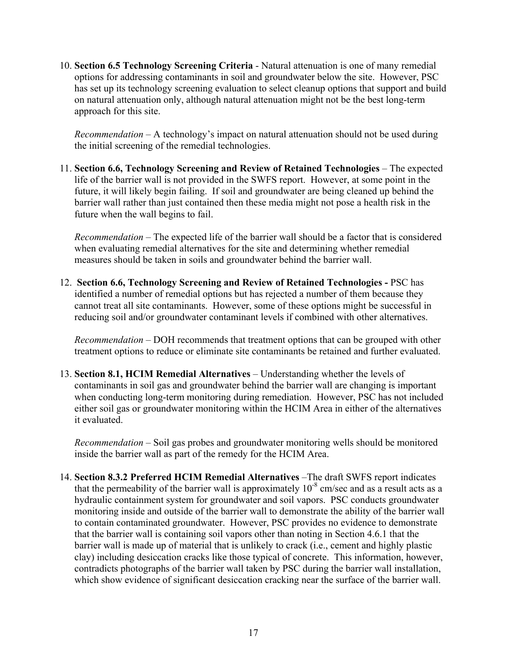10. **Section 6.5 Technology Screening Criteria** - Natural attenuation is one of many remedial options for addressing contaminants in soil and groundwater below the site. However, PSC has set up its technology screening evaluation to select cleanup options that support and build on natural attenuation only, although natural attenuation might not be the best long-term approach for this site.

*Recommendation* – A technology's impact on natural attenuation should not be used during the initial screening of the remedial technologies.

11. **Section 6.6, Technology Screening and Review of Retained Technologies** – The expected life of the barrier wall is not provided in the SWFS report. However, at some point in the future, it will likely begin failing. If soil and groundwater are being cleaned up behind the barrier wall rather than just contained then these media might not pose a health risk in the future when the wall begins to fail.

*Recommendation* – The expected life of the barrier wall should be a factor that is considered when evaluating remedial alternatives for the site and determining whether remedial measures should be taken in soils and groundwater behind the barrier wall.

12. **Section 6.6, Technology Screening and Review of Retained Technologies -** PSC has identified a number of remedial options but has rejected a number of them because they cannot treat all site contaminants. However, some of these options might be successful in reducing soil and/or groundwater contaminant levels if combined with other alternatives.

*Recommendation* – DOH recommends that treatment options that can be grouped with other treatment options to reduce or eliminate site contaminants be retained and further evaluated.

13. **Section 8.1, HCIM Remedial Alternatives** – Understanding whether the levels of contaminants in soil gas and groundwater behind the barrier wall are changing is important when conducting long-term monitoring during remediation. However, PSC has not included either soil gas or groundwater monitoring within the HCIM Area in either of the alternatives it evaluated.

*Recommendation* – Soil gas probes and groundwater monitoring wells should be monitored inside the barrier wall as part of the remedy for the HCIM Area.

14. **Section 8.3.2 Preferred HCIM Remedial Alternatives** –The draft SWFS report indicates that the permeability of the barrier wall is approximately  $10^{-8}$  cm/sec and as a result acts as a hydraulic containment system for groundwater and soil vapors. PSC conducts groundwater monitoring inside and outside of the barrier wall to demonstrate the ability of the barrier wall to contain contaminated groundwater. However, PSC provides no evidence to demonstrate that the barrier wall is containing soil vapors other than noting in Section 4.6.1 that the barrier wall is made up of material that is unlikely to crack (i.e., cement and highly plastic clay) including desiccation cracks like those typical of concrete. This information, however, contradicts photographs of the barrier wall taken by PSC during the barrier wall installation, which show evidence of significant desiccation cracking near the surface of the barrier wall.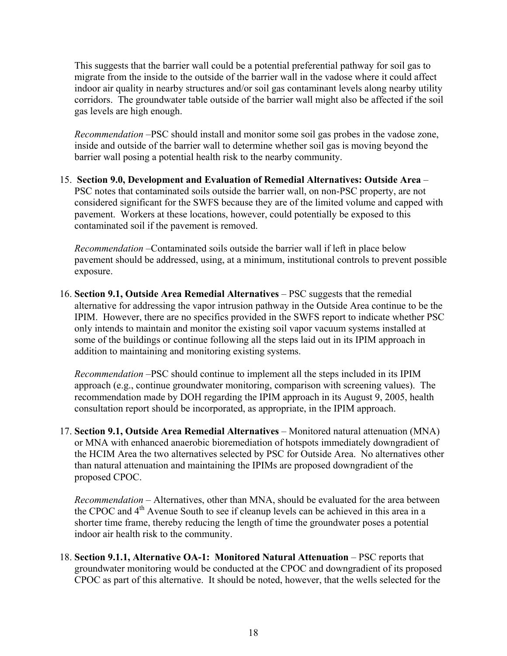This suggests that the barrier wall could be a potential preferential pathway for soil gas to migrate from the inside to the outside of the barrier wall in the vadose where it could affect indoor air quality in nearby structures and/or soil gas contaminant levels along nearby utility corridors. The groundwater table outside of the barrier wall might also be affected if the soil gas levels are high enough.

*Recommendation* –PSC should install and monitor some soil gas probes in the vadose zone, inside and outside of the barrier wall to determine whether soil gas is moving beyond the barrier wall posing a potential health risk to the nearby community.

15. **Section 9.0, Development and Evaluation of Remedial Alternatives: Outside Area** – PSC notes that contaminated soils outside the barrier wall, on non-PSC property, are not considered significant for the SWFS because they are of the limited volume and capped with pavement. Workers at these locations, however, could potentially be exposed to this contaminated soil if the pavement is removed.

*Recommendation* –Contaminated soils outside the barrier wall if left in place below pavement should be addressed, using, at a minimum, institutional controls to prevent possible exposure.

16. **Section 9.1, Outside Area Remedial Alternatives** – PSC suggests that the remedial alternative for addressing the vapor intrusion pathway in the Outside Area continue to be the IPIM. However, there are no specifics provided in the SWFS report to indicate whether PSC only intends to maintain and monitor the existing soil vapor vacuum systems installed at some of the buildings or continue following all the steps laid out in its IPIM approach in addition to maintaining and monitoring existing systems.

*Recommendation* –PSC should continue to implement all the steps included in its IPIM approach (e.g., continue groundwater monitoring, comparison with screening values). The recommendation made by DOH regarding the IPIM approach in its August 9, 2005, health consultation report should be incorporated, as appropriate, in the IPIM approach.

17. **Section 9.1, Outside Area Remedial Alternatives** – Monitored natural attenuation (MNA) or MNA with enhanced anaerobic bioremediation of hotspots immediately downgradient of the HCIM Area the two alternatives selected by PSC for Outside Area. No alternatives other than natural attenuation and maintaining the IPIMs are proposed downgradient of the proposed CPOC.

*Recommendation* – Alternatives, other than MNA, should be evaluated for the area between the CPOC and  $4<sup>th</sup>$  Avenue South to see if cleanup levels can be achieved in this area in a shorter time frame, thereby reducing the length of time the groundwater poses a potential indoor air health risk to the community.

18. **Section 9.1.1, Alternative OA-1: Monitored Natural Attenuation** – PSC reports that groundwater monitoring would be conducted at the CPOC and downgradient of its proposed CPOC as part of this alternative. It should be noted, however, that the wells selected for the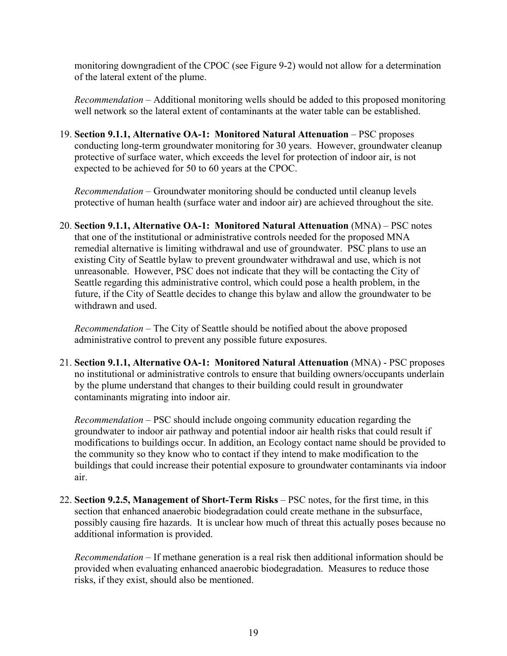monitoring downgradient of the CPOC (see Figure 9-2) would not allow for a determination of the lateral extent of the plume.

*Recommendation* – Additional monitoring wells should be added to this proposed monitoring well network so the lateral extent of contaminants at the water table can be established.

19. **Section 9.1.1, Alternative OA-1: Monitored Natural Attenuation** – PSC proposes conducting long-term groundwater monitoring for 30 years. However, groundwater cleanup protective of surface water, which exceeds the level for protection of indoor air, is not expected to be achieved for 50 to 60 years at the CPOC.

*Recommendation* – Groundwater monitoring should be conducted until cleanup levels protective of human health (surface water and indoor air) are achieved throughout the site.

20. **Section 9.1.1, Alternative OA-1: Monitored Natural Attenuation** (MNA) – PSC notes that one of the institutional or administrative controls needed for the proposed MNA remedial alternative is limiting withdrawal and use of groundwater. PSC plans to use an existing City of Seattle bylaw to prevent groundwater withdrawal and use, which is not unreasonable. However, PSC does not indicate that they will be contacting the City of Seattle regarding this administrative control, which could pose a health problem, in the future, if the City of Seattle decides to change this bylaw and allow the groundwater to be withdrawn and used.

*Recommendation* – The City of Seattle should be notified about the above proposed administrative control to prevent any possible future exposures.

21. **Section 9.1.1, Alternative OA-1: Monitored Natural Attenuation** (MNA) - PSC proposes no institutional or administrative controls to ensure that building owners/occupants underlain by the plume understand that changes to their building could result in groundwater contaminants migrating into indoor air.

*Recommendation* – PSC should include ongoing community education regarding the groundwater to indoor air pathway and potential indoor air health risks that could result if modifications to buildings occur. In addition, an Ecology contact name should be provided to the community so they know who to contact if they intend to make modification to the buildings that could increase their potential exposure to groundwater contaminants via indoor air.

22. **Section 9.2.5, Management of Short-Term Risks** – PSC notes, for the first time, in this section that enhanced anaerobic biodegradation could create methane in the subsurface, possibly causing fire hazards. It is unclear how much of threat this actually poses because no additional information is provided.

*Recommendation* – If methane generation is a real risk then additional information should be provided when evaluating enhanced anaerobic biodegradation. Measures to reduce those risks, if they exist, should also be mentioned.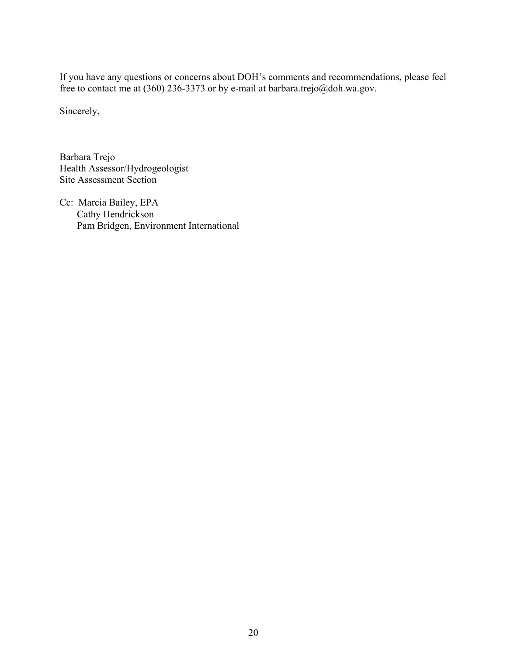If you have any questions or concerns about DOH's comments and recommendations, please feel free to contact me at (360) 236-3373 or by e-mail at barbara.trejo@doh.wa.gov.

Sincerely,

Barbara Trejo Health Assessor/Hydrogeologist Site Assessment Section

Cc: Marcia Bailey, EPA Cathy Hendrickson Pam Bridgen, Environment International